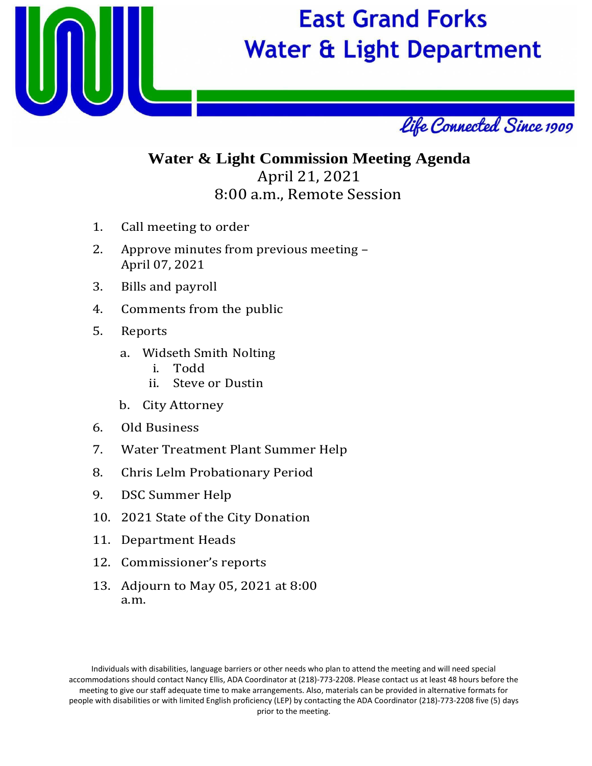

# **East Grand Forks Water & Light Department**



### **Water & Light Commission Meeting Agenda** April 21, 2021 8:00 a.m., Remote Session

- 1. Call meeting to order
- 2. Approve minutes from previous meeting April 07, 2021
- 3. Bills and payroll
- 4. Comments from the public
- 5. Reports
	- a. Widseth Smith Nolting
		- i. Todd
		- Steve or Dustin
	- b. City Attorney
- 6. Old Business
- 7. Water Treatment Plant Summer Help
- 8. Chris Lelm Probationary Period
- 9. DSC Summer Help
- 10. 2021 State of the City Donation
- 11. Department Heads
- 12. Commissioner's reports
- 13. Adjourn to May 05, 2021 at 8:00 a.m.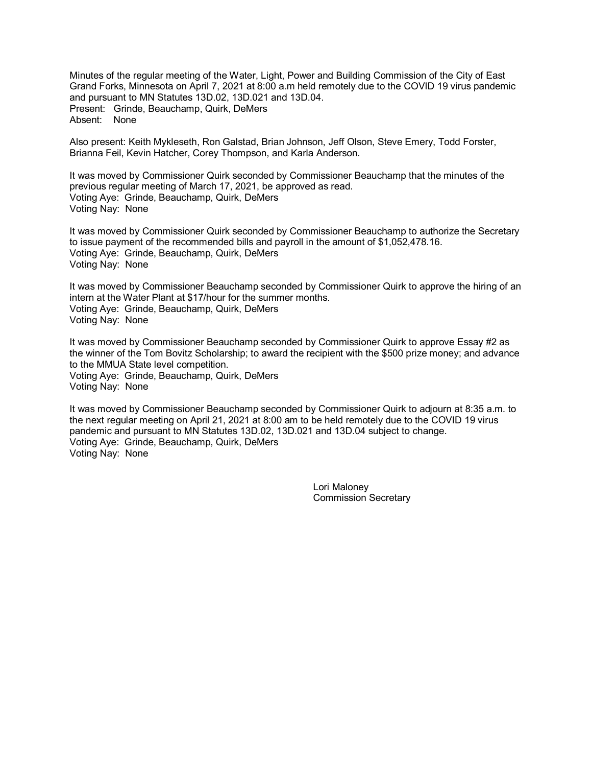Minutes of the regular meeting of the Water, Light, Power and Building Commission of the City of East Grand Forks, Minnesota on April 7, 2021 at 8:00 a.m held remotely due to the COVID 19 virus pandemic and pursuant to MN Statutes 13D.02, 13D.021 and 13D.04. Present: Grinde, Beauchamp, Quirk, DeMers Absent: None

Also present: Keith Mykleseth, Ron Galstad, Brian Johnson, Jeff Olson, Steve Emery, Todd Forster, Brianna Feil, Kevin Hatcher, Corey Thompson, and Karla Anderson.

It was moved by Commissioner Quirk seconded by Commissioner Beauchamp that the minutes of the previous regular meeting of March 17, 2021, be approved as read. Voting Aye: Grinde, Beauchamp, Quirk, DeMers Voting Nay: None

It was moved by Commissioner Quirk seconded by Commissioner Beauchamp to authorize the Secretary to issue payment of the recommended bills and payroll in the amount of \$1,052,478.16. Voting Aye: Grinde, Beauchamp, Quirk, DeMers Voting Nay: None

It was moved by Commissioner Beauchamp seconded by Commissioner Quirk to approve the hiring of an intern at the Water Plant at \$17/hour for the summer months. Voting Aye: Grinde, Beauchamp, Quirk, DeMers Voting Nay: None

It was moved by Commissioner Beauchamp seconded by Commissioner Quirk to approve Essay #2 as the winner of the Tom Bovitz Scholarship; to award the recipient with the \$500 prize money; and advance to the MMUA State level competition. Voting Aye: Grinde, Beauchamp, Quirk, DeMers Voting Nay: None

It was moved by Commissioner Beauchamp seconded by Commissioner Quirk to adjourn at 8:35 a.m. to the next regular meeting on April 21, 2021 at 8:00 am to be held remotely due to the COVID 19 virus pandemic and pursuant to MN Statutes 13D.02, 13D.021 and 13D.04 subject to change. Voting Aye: Grinde, Beauchamp, Quirk, DeMers Voting Nay: None

> Lori Maloney Commission Secretary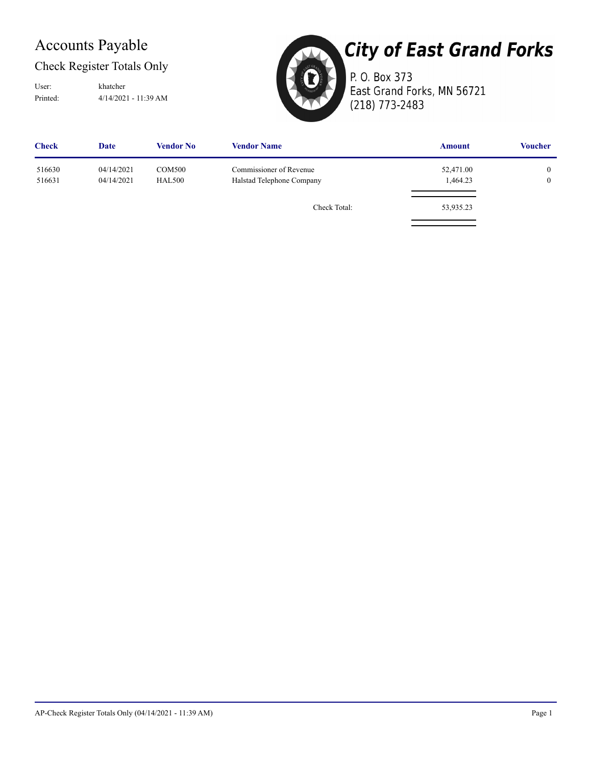### Accounts Payable

### Check Register Totals Only

Printed: 4/14/2021 - 11:39 AM User: khatcher



# **City of East Grand Forks**

P. O. Box 373 East Grand Forks, MN 56721 (218) 773-2483

| <b>Check</b>     | Date                     | <b>Vendor No</b>               | <b>Vendor Name</b>                                   | <b>Amount</b>         | <b>Voucher</b>               |
|------------------|--------------------------|--------------------------------|------------------------------------------------------|-----------------------|------------------------------|
| 516630<br>516631 | 04/14/2021<br>04/14/2021 | <b>COM500</b><br><b>HAL500</b> | Commissioner of Revenue<br>Halstad Telephone Company | 52,471.00<br>1,464.23 | $\mathbf{0}$<br>$\mathbf{0}$ |
|                  |                          |                                | Check Total:                                         | 53,935.23             |                              |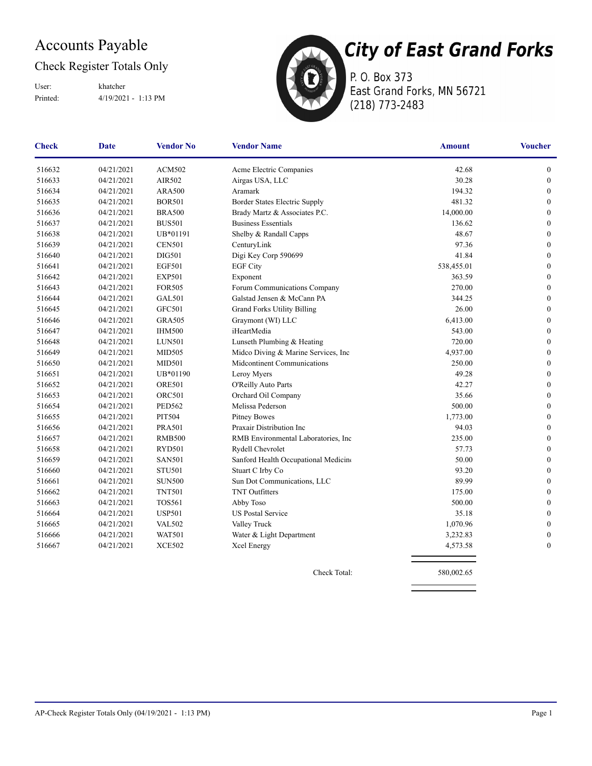### Accounts Payable

### Check Register Totals Only

Printed: 4/19/2021 - 1:13 PM User: khatcher



P. O. Box 373 East Grand Forks, MN 56721 (218) 773-2483

| <b>Check</b> | Date       | <b>Vendor No</b> | <b>Vendor Name</b>                   | <b>Amount</b> | <b>Voucher</b>   |
|--------------|------------|------------------|--------------------------------------|---------------|------------------|
| 516632       | 04/21/2021 | <b>ACM502</b>    | Acme Electric Companies              | 42.68         | $\boldsymbol{0}$ |
| 516633       | 04/21/2021 | AIR502           | Airgas USA, LLC                      | 30.28         | $\boldsymbol{0}$ |
| 516634       | 04/21/2021 | <b>ARA500</b>    | Aramark                              | 194.32        | $\boldsymbol{0}$ |
| 516635       | 04/21/2021 | <b>BOR501</b>    | Border States Electric Supply        | 481.32        | $\theta$         |
| 516636       | 04/21/2021 | <b>BRA500</b>    | Brady Martz & Associates P.C.        | 14,000.00     | $\mathbf{0}$     |
| 516637       | 04/21/2021 | <b>BUS501</b>    | <b>Business Essentials</b>           | 136.62        | $\mathbf{0}$     |
| 516638       | 04/21/2021 | UB*01191         | Shelby & Randall Capps               | 48.67         | $\boldsymbol{0}$ |
| 516639       | 04/21/2021 | <b>CEN501</b>    | CenturyLink                          | 97.36         | $\boldsymbol{0}$ |
| 516640       | 04/21/2021 | <b>DIG501</b>    | Digi Key Corp 590699                 | 41.84         | $\boldsymbol{0}$ |
| 516641       | 04/21/2021 | <b>EGF501</b>    | <b>EGF City</b>                      | 538,455.01    | $\boldsymbol{0}$ |
| 516642       | 04/21/2021 | <b>EXP501</b>    | Exponent                             | 363.59        | $\boldsymbol{0}$ |
| 516643       | 04/21/2021 | <b>FOR505</b>    | Forum Communications Company         | 270.00        | $\boldsymbol{0}$ |
| 516644       | 04/21/2021 | <b>GAL501</b>    | Galstad Jensen & McCann PA           | 344.25        | $\boldsymbol{0}$ |
| 516645       | 04/21/2021 | <b>GFC501</b>    | <b>Grand Forks Utility Billing</b>   | 26.00         | $\mathbf{0}$     |
| 516646       | 04/21/2021 | <b>GRA505</b>    | Graymont (WI) LLC                    | 6,413.00      | $\mathbf{0}$     |
| 516647       | 04/21/2021 | <b>IHM500</b>    | iHeartMedia                          | 543.00        | $\mathbf{0}$     |
| 516648       | 04/21/2021 | <b>LUN501</b>    | Lunseth Plumbing & Heating           | 720.00        | $\mathbf{0}$     |
| 516649       | 04/21/2021 | <b>MID505</b>    | Midco Diving & Marine Services, Inc. | 4,937.00      | $\mathbf{0}$     |
| 516650       | 04/21/2021 | <b>MID501</b>    | Midcontinent Communications          | 250.00        | $\mathbf{0}$     |
| 516651       | 04/21/2021 | UB*01190         | Leroy Myers                          | 49.28         | $\boldsymbol{0}$ |
| 516652       | 04/21/2021 | <b>ORE501</b>    | O'Reilly Auto Parts                  | 42.27         | $\boldsymbol{0}$ |
| 516653       | 04/21/2021 | <b>ORC501</b>    | Orchard Oil Company                  | 35.66         | $\boldsymbol{0}$ |
| 516654       | 04/21/2021 | <b>PED562</b>    | Melissa Pederson                     | 500.00        | $\boldsymbol{0}$ |
| 516655       | 04/21/2021 | <b>PIT504</b>    | <b>Pitney Bowes</b>                  | 1,773.00      | $\boldsymbol{0}$ |
| 516656       | 04/21/2021 | <b>PRA501</b>    | Praxair Distribution Inc             | 94.03         | $\boldsymbol{0}$ |
| 516657       | 04/21/2021 | <b>RMB500</b>    | RMB Environmental Laboratories, Inc  | 235.00        | $\mathbf{0}$     |
| 516658       | 04/21/2021 | <b>RYD501</b>    | Rydell Chevrolet                     | 57.73         | $\boldsymbol{0}$ |
| 516659       | 04/21/2021 | <b>SAN501</b>    | Sanford Health Occupational Medicine | 50.00         | $\boldsymbol{0}$ |
| 516660       | 04/21/2021 | <b>STU501</b>    | Stuart C Irby Co                     | 93.20         | $\boldsymbol{0}$ |
| 516661       | 04/21/2021 | <b>SUN500</b>    | Sun Dot Communications, LLC          | 89.99         | $\mathbf{0}$     |
| 516662       | 04/21/2021 | <b>TNT501</b>    | <b>TNT</b> Outfitters                | 175.00        | $\mathbf{0}$     |
| 516663       | 04/21/2021 | <b>TOS561</b>    | Abby Toso                            | 500.00        | $\mathbf{0}$     |
| 516664       | 04/21/2021 | <b>USP501</b>    | <b>US Postal Service</b>             | 35.18         | $\boldsymbol{0}$ |
| 516665       | 04/21/2021 | <b>VAL502</b>    | Valley Truck                         | 1,070.96      | $\boldsymbol{0}$ |
| 516666       | 04/21/2021 | <b>WAT501</b>    | Water & Light Department             | 3,232.83      | $\boldsymbol{0}$ |
| 516667       | 04/21/2021 | <b>XCE502</b>    | Xcel Energy                          | 4,573.58      | $\boldsymbol{0}$ |

Check Total: 580,002.65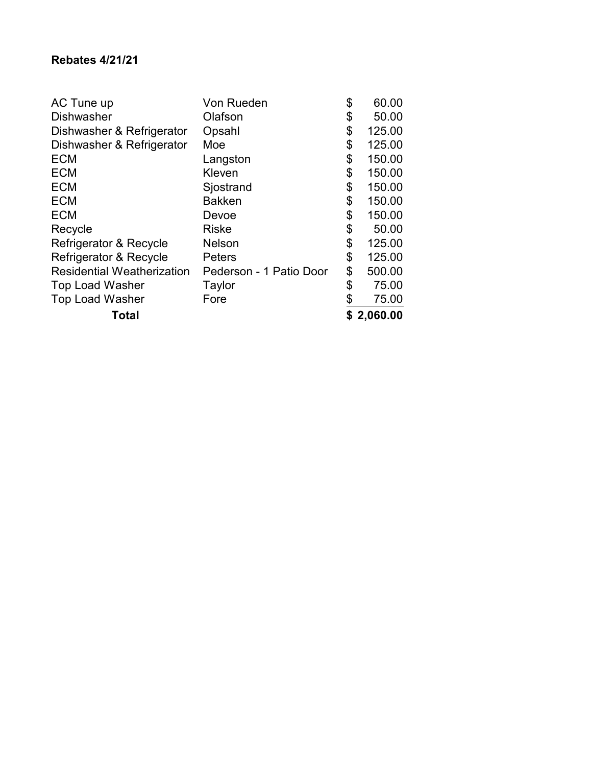### **Rebates 4/21/21**

| Total                             |                         | \$2,060.00   |
|-----------------------------------|-------------------------|--------------|
| <b>Top Load Washer</b>            | Fore                    | 75.00        |
| <b>Top Load Washer</b>            | Taylor                  | \$<br>75.00  |
| <b>Residential Weatherization</b> | Pederson - 1 Patio Door | \$<br>500.00 |
| Refrigerator & Recycle            | <b>Peters</b>           | \$<br>125.00 |
| Refrigerator & Recycle            | <b>Nelson</b>           | \$<br>125.00 |
| Recycle                           | <b>Riske</b>            | \$<br>50.00  |
| <b>ECM</b>                        | Devoe                   | \$<br>150.00 |
| <b>ECM</b>                        | <b>Bakken</b>           | \$<br>150.00 |
| <b>ECM</b>                        | Sjostrand               | \$<br>150.00 |
| <b>ECM</b>                        | Kleven                  | \$<br>150.00 |
| <b>ECM</b>                        | Langston                | \$<br>150.00 |
| Dishwasher & Refrigerator         | Moe                     | \$<br>125.00 |
| Dishwasher & Refrigerator         | Opsahl                  | \$<br>125.00 |
| <b>Dishwasher</b>                 | Olafson                 | \$<br>50.00  |
| AC Tune up                        | Von Rueden              | \$<br>60.00  |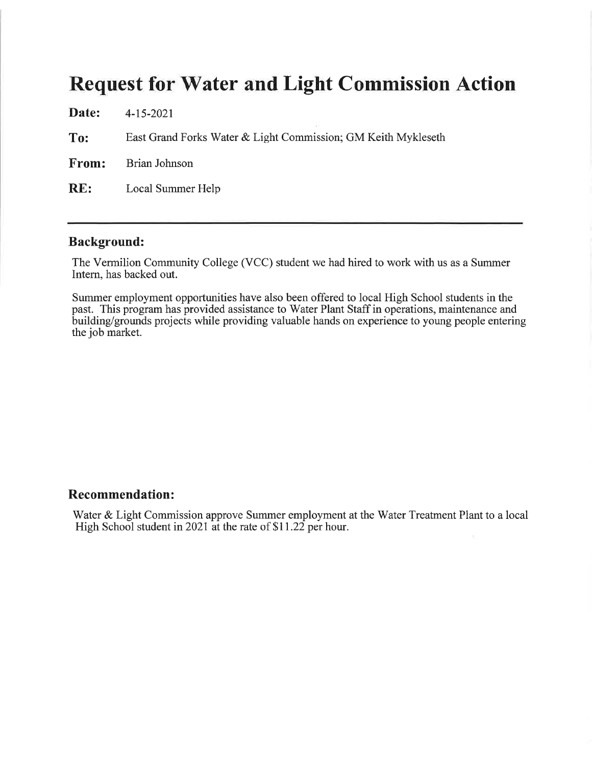| Date: | 4-15-2021                                                     |
|-------|---------------------------------------------------------------|
| To:   | East Grand Forks Water & Light Commission; GM Keith Mykleseth |
| From: | Brian Johnson                                                 |
| RE:   | Local Summer Help                                             |
|       |                                                               |

#### **Background:**

The Vermilion Community College (VCC) student we had hired to work with us as a Summer Intern, has backed out.

Summer employment opportunities have also been offered to local High School students in the past. This program has provided assistance to Water Plant Staff in operations, maintenance and building/grounds projects while providing valuable hands on experience to young people entering the job market.

#### **Recommendation:**

Water & Light Commission approve Summer employment at the Water Treatment Plant to a local High School student in 2021 at the rate of \$11.22 per hour.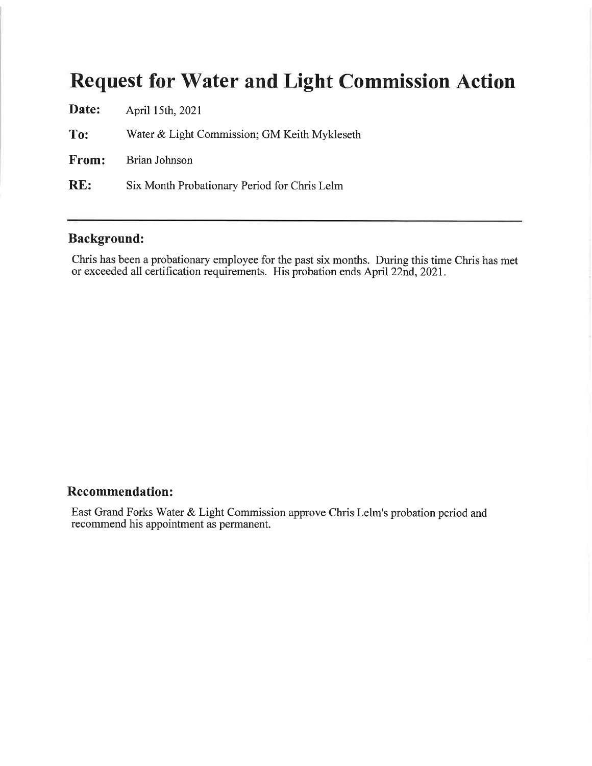| Date: | April 15th, 2021                             |
|-------|----------------------------------------------|
| To:   | Water & Light Commission; GM Keith Mykleseth |
|       | <b>From:</b> Brian Johnson                   |
| RE:   | Six Month Probationary Period for Chris Lelm |

### **Background:**

Chris has been a probationary employee for the past six months. During this time Chris has met or exceeded all certification requirements. His probation ends April 22nd, 2021.

### **Recommendation:**

East Grand Forks Water & Light Commission approve Chris Lelm's probation period and recommend his appointment as permanent.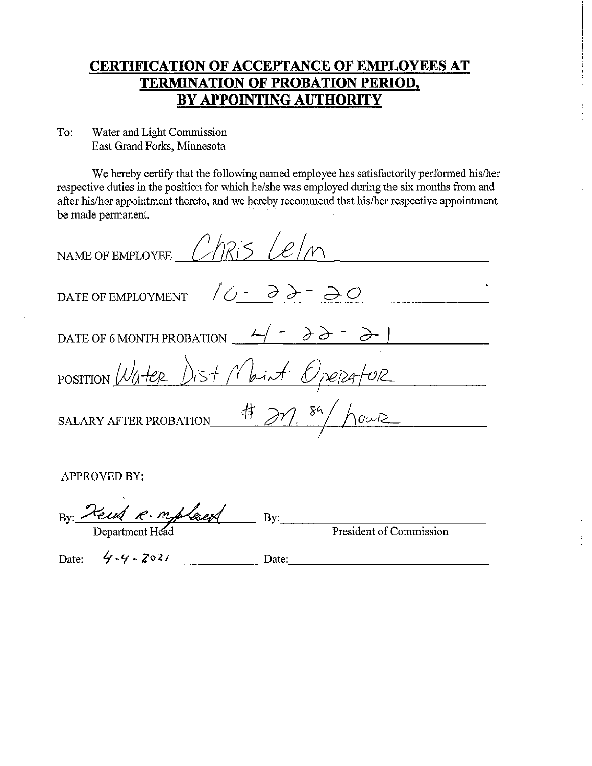### **CERTIFICATION OF ACCEPTANCE OF EMPLOYEES AT TERMINATION OF PROBATION PERIOD,** BY APPOINTING AUTHORITY

Water and Light Commission To: East Grand Forks, Minnesota

We hereby certify that the following named employee has satisfactorily performed his/her respective duties in the position for which he/she was employed during the six months from and after his/her appointment thereto, and we hereby recommend that his/her respective appointment be made permanent.

| NAME OF EMPLOYEE $ChR$ / $Cl$ / $M$                                                                            |  |
|----------------------------------------------------------------------------------------------------------------|--|
| DATE OF EMPLOYMENT $\angle 0 - \partial \partial - \partial 0$                                                 |  |
| DATE OF 6 MONTH PROBATION $\frac{2}{\sqrt{7}}$ - $\frac{\partial}{\partial^2}$ - $\frac{\partial}{\partial^2}$ |  |
| POSITION Water Dist Maint Operature                                                                            |  |
| SALARY AFTER PROBATION $\qquad \qquad \frac{4}{7}$ and $\frac{89}{10002}$                                      |  |
|                                                                                                                |  |
| APPROVED BY:                                                                                                   |  |

By Read R. mplaced

Department Head

By: President of Commission

<u> 1980 - Jan Stein Jan Stein Stein Stein Stein Stein Stein Stein Stein Stein Stein Stein Stein Stein Stein Stein</u>

Date:  $4 - 4 = 2021$ 

Date: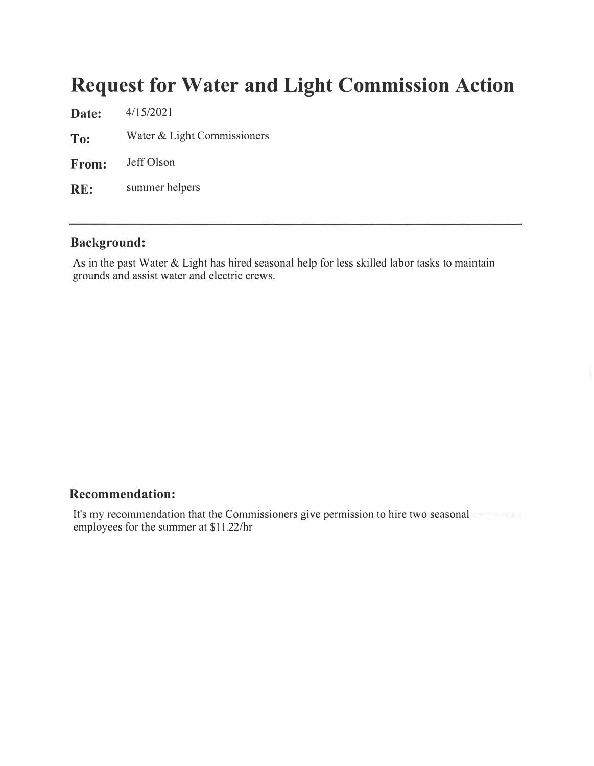**Date:** 4/15/2021 **To:** Water & Light Commissioners **From:** Jeff Olson **RE:** summer helpers

### **Background:**

As in the past Water & Light has hired seasonal help for less skilled labor tasks to maintain grounds and assist water and electric crews.

#### **Recommendation:**

It's my recommendation that the Commissioners give permission to hire two seasonal employees for the summer at \$11.22/hr